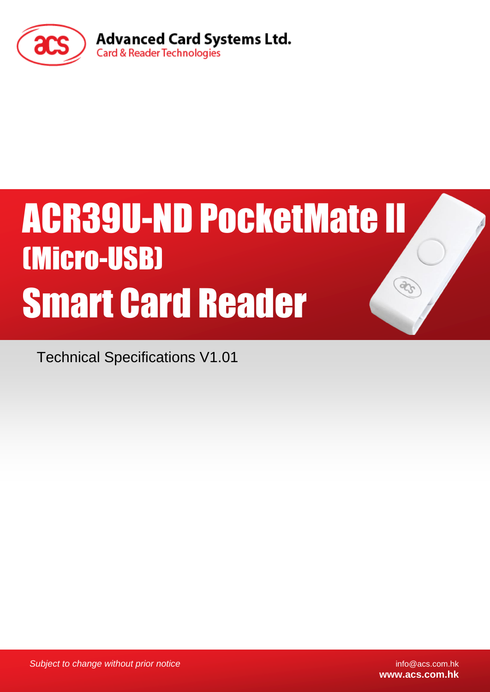

# ACR39U-ND PocketMate II (Micro-USB) Smart Card Reader

Technical Specifications V1.01

*Subject to change without prior notice* info@acs.com.hk

**www.acs.com.hk**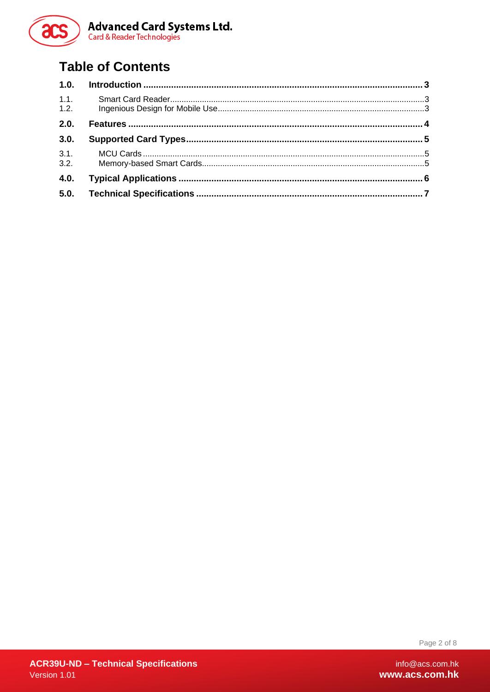

## **Table of Contents**

| 1.0.         |  |
|--------------|--|
| 1.1.<br>1.2. |  |
| 2.0.         |  |
| 3.0.         |  |
| 3.1.<br>3.2. |  |
| 4.0.         |  |
| 5.0.         |  |

Page 2 of 8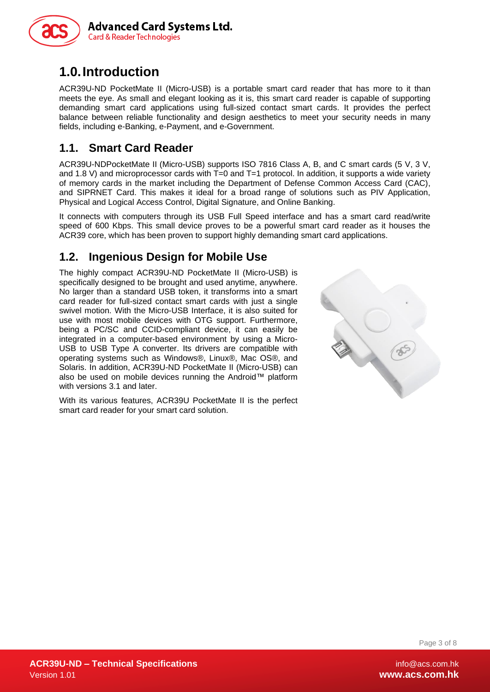

### <span id="page-2-0"></span>**1.0.Introduction**

ACR39U-ND PocketMate II (Micro-USB) is a portable smart card reader that has more to it than meets the eye. As small and elegant looking as it is, this smart card reader is capable of supporting demanding smart card applications using full-sized contact smart cards. It provides the perfect balance between reliable functionality and design aesthetics to meet your security needs in many fields, including e-Banking, e-Payment, and e-Government.

#### <span id="page-2-1"></span>**1.1. Smart Card Reader**

ACR39U-NDPocketMate II (Micro-USB) supports ISO 7816 Class A, B, and C smart cards (5 V, 3 V, and 1.8 V) and microprocessor cards with  $T=0$  and  $T=1$  protocol. In addition, it supports a wide variety of memory cards in the market including the Department of Defense Common Access Card (CAC), and SIPRNET Card. This makes it ideal for a broad range of solutions such as PIV Application, Physical and Logical Access Control, Digital Signature, and Online Banking.

It connects with computers through its USB Full Speed interface and has a smart card read/write speed of 600 Kbps. This small device proves to be a powerful smart card reader as it houses the ACR39 core, which has been proven to support highly demanding smart card applications.

#### <span id="page-2-2"></span>**1.2. Ingenious Design for Mobile Use**

The highly compact ACR39U-ND PocketMate II (Micro-USB) is specifically designed to be brought and used anytime, anywhere. No larger than a standard USB token, it transforms into a smart card reader for full-sized contact smart cards with just a single swivel motion. With the Micro-USB Interface, it is also suited for use with most mobile devices with OTG support. Furthermore, being a PC/SC and CCID-compliant device, it can easily be integrated in a computer-based environment by using a Micro-USB to USB Type A converter. Its drivers are compatible with operating systems such as Windows®, Linux®, Mac OS®, and Solaris. In addition, ACR39U-ND PocketMate II (Micro-USB) can also be used on mobile devices running the Android™ platform with versions 3.1 and later.

With its various features, ACR39U PocketMate II is the perfect smart card reader for your smart card solution.



Page 3 of 8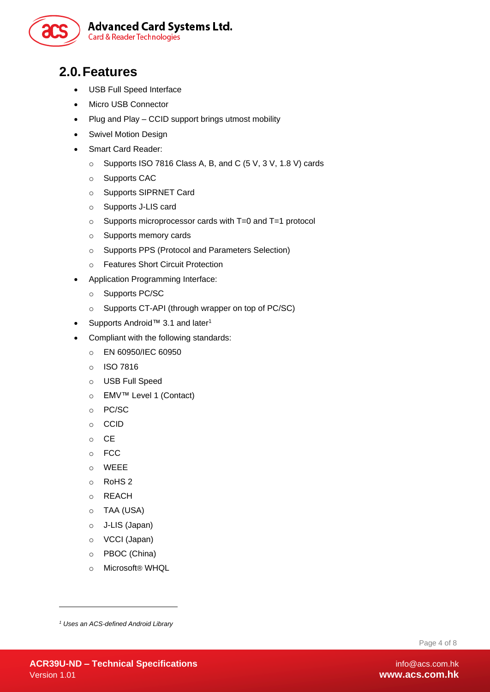

#### <span id="page-3-0"></span>**2.0.Features**

- USB Full Speed Interface
- Micro USB Connector
- Plug and Play CCID support brings utmost mobility
- Swivel Motion Design
- Smart Card Reader:
	- o Supports ISO 7816 Class A, B, and C (5 V, 3 V, 1.8 V) cards
	- o Supports CAC
	- o Supports SIPRNET Card
	- o Supports J-LIS card
	- o Supports microprocessor cards with T=0 and T=1 protocol
	- o Supports memory cards
	- o Supports PPS (Protocol and Parameters Selection)
	- o Features Short Circuit Protection
- Application Programming Interface:
	- o Supports PC/SC
	- o Supports CT-API (through wrapper on top of PC/SC)
- Supports Android™ 3.1 and later<sup>1</sup>
- Compliant with the following standards:
	- o EN 60950/IEC 60950
	- o ISO 7816
	- o USB Full Speed
	- o EMV™ Level 1 (Contact)
	- o PC/SC
	- o CCID
	- o CE
	- o FCC
	- o WEEE
	- o RoHS 2
	- o REACH
	- o TAA (USA)
	- o J-LIS (Japan)
	- o VCCI (Japan)
	- o PBOC (China)
	- o Microsoft® WHQL

-

Page 4 of 8

*<sup>1</sup> Uses an ACS-defined Android Library*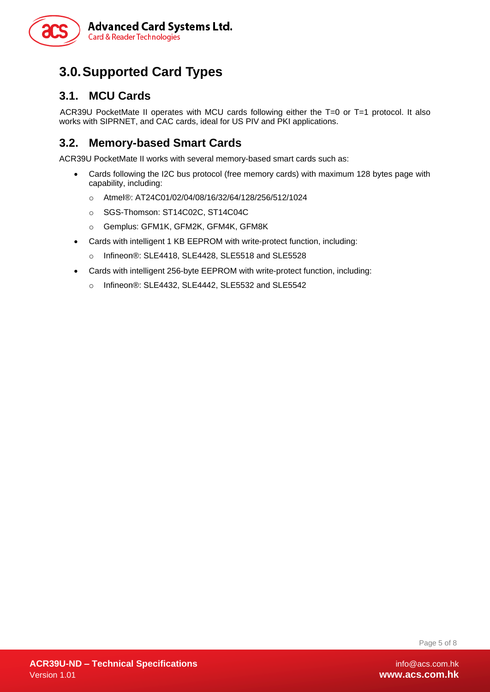

## <span id="page-4-0"></span>**3.0.Supported Card Types**

#### <span id="page-4-1"></span>**3.1. MCU Cards**

ACR39U PocketMate II operates with MCU cards following either the T=0 or T=1 protocol. It also works with SIPRNET, and CAC cards, ideal for US PIV and PKI applications.

#### <span id="page-4-2"></span>**3.2. Memory-based Smart Cards**

ACR39U PocketMate II works with several memory-based smart cards such as:

- Cards following the I2C bus protocol (free memory cards) with maximum 128 bytes page with capability, including:
	- o Atmel®: AT24C01/02/04/08/16/32/64/128/256/512/1024
	- o SGS-Thomson: ST14C02C, ST14C04C
	- o Gemplus: GFM1K, GFM2K, GFM4K, GFM8K
- Cards with intelligent 1 KB EEPROM with write-protect function, including:
	- o Infineon®: SLE4418, SLE4428, SLE5518 and SLE5528
- Cards with intelligent 256-byte EEPROM with write-protect function, including:
	- o Infineon®: SLE4432, SLE4442, SLE5532 and SLE5542

Page 5 of 8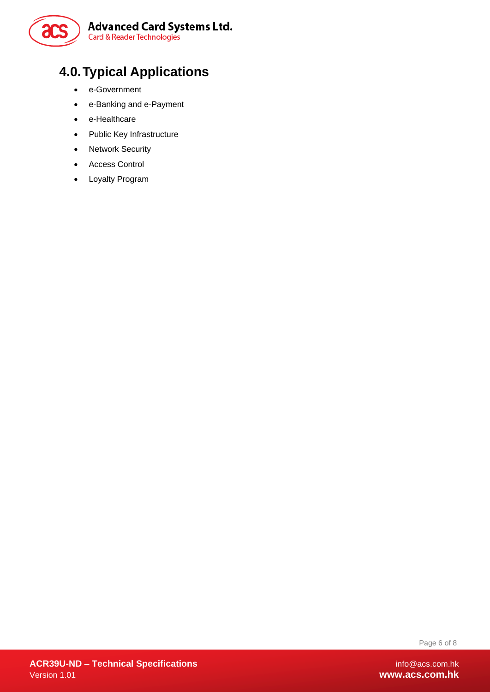

## <span id="page-5-0"></span>**4.0.Typical Applications**

- e-Government
- e-Banking and e-Payment
- e-Healthcare
- Public Key Infrastructure
- Network Security
- Access Control
- Loyalty Program

Page 6 of 8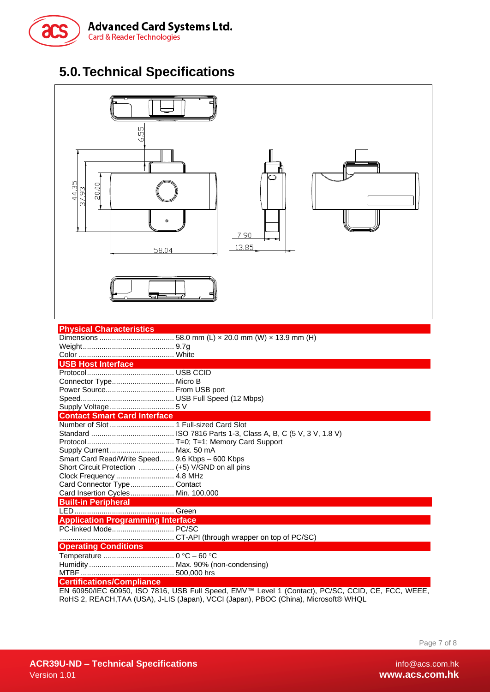

## <span id="page-6-0"></span>**5.0.Technical Specifications**